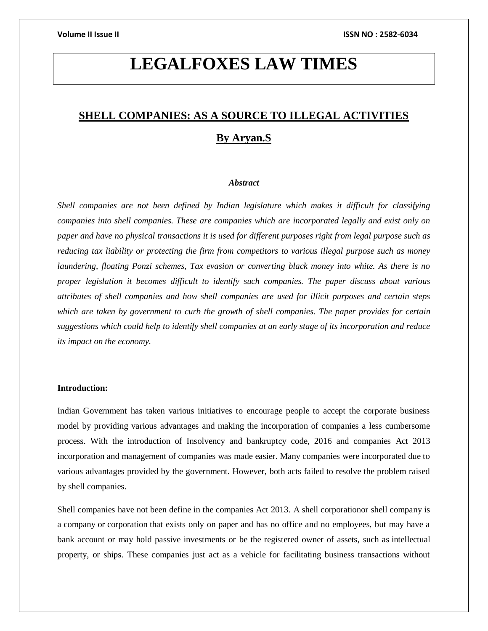# **LEGALFOXES LAW TIMES**

# **SHELL COMPANIES: AS A SOURCE TO ILLEGAL ACTIVITIES By Aryan.S**

#### *Abstract*

*Shell companies are not been defined by Indian legislature which makes it difficult for classifying companies into shell companies. These are companies which are incorporated legally and exist only on paper and have no physical transactions it is used for different purposes right from legal purpose such as reducing tax liability or protecting the firm from competitors to various illegal purpose such as money laundering, floating Ponzi schemes, Tax evasion or converting black money into white. As there is no proper legislation it becomes difficult to identify such companies. The paper discuss about various attributes of shell companies and how shell companies are used for illicit purposes and certain steps which are taken by government to curb the growth of shell companies. The paper provides for certain suggestions which could help to identify shell companies at an early stage of its incorporation and reduce its impact on the economy.* 

# **Introduction:**

Indian Government has taken various initiatives to encourage people to accept the corporate business model by providing various advantages and making the incorporation of companies a less cumbersome process. With the introduction of Insolvency and bankruptcy code, 2016 and companies Act 2013 incorporation and management of companies was made easier. Many companies were incorporated due to various advantages provided by the government. However, both acts failed to resolve the problem raised by shell companies.

Shell companies have not been define in the companies Act 2013. A shell corporationor shell company is a company or corporation that exists only on paper and has no office and no employees, but may have a bank account or may hold passive investments or be the registered owner of assets, such as intellectual property, or ships. These companies just act as a vehicle for facilitating business transactions without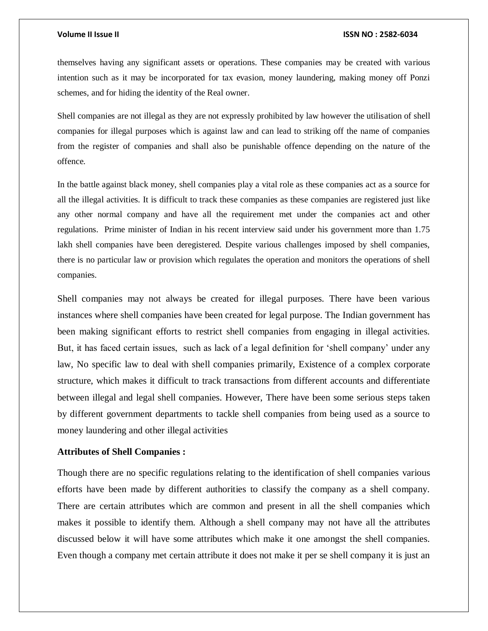themselves having any significant assets or operations. These companies may be created with various intention such as it may be incorporated for tax evasion, money laundering, making money off Ponzi schemes, and for hiding the identity of the Real owner.

Shell companies are not illegal as they are not expressly prohibited by law however the utilisation of shell companies for illegal purposes which is against law and can lead to striking off the name of companies from the register of companies and shall also be punishable offence depending on the nature of the offence.

In the battle against black money, shell companies play a vital role as these companies act as a source for all the illegal activities. It is difficult to track these companies as these companies are registered just like any other normal company and have all the requirement met under the companies act and other regulations. Prime minister of Indian in his recent interview said under his government more than 1.75 lakh shell companies have been deregistered. Despite various challenges imposed by shell companies, there is no particular law or provision which regulates the operation and monitors the operations of shell companies.

Shell companies may not always be created for illegal purposes. There have been various instances where shell companies have been created for legal purpose. The Indian government has been making significant efforts to restrict shell companies from engaging in illegal activities. But, it has faced certain issues, such as lack of a legal definition for 'shell company' under any law, No specific law to deal with shell companies primarily, Existence of a complex corporate structure, which makes it difficult to track transactions from different accounts and differentiate between illegal and legal shell companies. However, There have been some serious steps taken by different government departments to tackle shell companies from being used as a source to money laundering and other illegal activities

# **Attributes of Shell Companies :**

Though there are no specific regulations relating to the identification of shell companies various efforts have been made by different authorities to classify the company as a shell company. There are certain attributes which are common and present in all the shell companies which makes it possible to identify them. Although a shell company may not have all the attributes discussed below it will have some attributes which make it one amongst the shell companies. Even though a company met certain attribute it does not make it per se shell company it is just an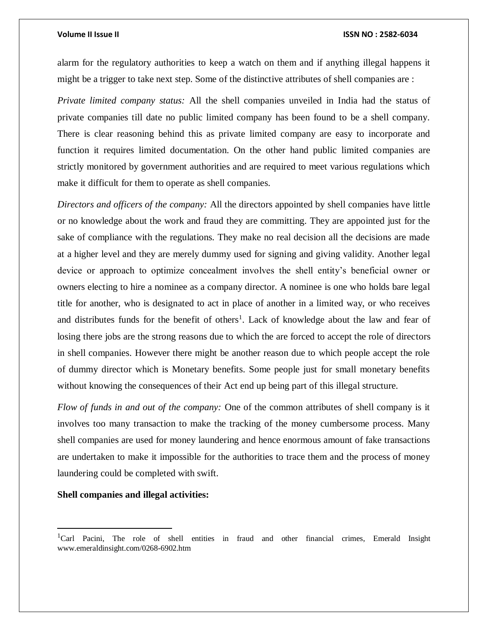alarm for the regulatory authorities to keep a watch on them and if anything illegal happens it might be a trigger to take next step. Some of the distinctive attributes of shell companies are :

*Private limited company status:* All the shell companies unveiled in India had the status of private companies till date no public limited company has been found to be a shell company. There is clear reasoning behind this as private limited company are easy to incorporate and function it requires limited documentation. On the other hand public limited companies are strictly monitored by government authorities and are required to meet various regulations which make it difficult for them to operate as shell companies.

*Directors and officers of the company:* All the directors appointed by shell companies have little or no knowledge about the work and fraud they are committing. They are appointed just for the sake of compliance with the regulations. They make no real decision all the decisions are made at a higher level and they are merely dummy used for signing and giving validity. Another legal device or approach to optimize concealment involves the shell entity's beneficial owner or owners electing to hire a nominee as a company director. A nominee is one who holds bare legal title for another, who is designated to act in place of another in a limited way, or who receives and distributes funds for the benefit of others<sup>1</sup>. Lack of knowledge about the law and fear of losing there jobs are the strong reasons due to which the are forced to accept the role of directors in shell companies. However there might be another reason due to which people accept the role of dummy director which is Monetary benefits. Some people just for small monetary benefits without knowing the consequences of their Act end up being part of this illegal structure.

*Flow of funds in and out of the company:* One of the common attributes of shell company is it involves too many transaction to make the tracking of the money cumbersome process. Many shell companies are used for money laundering and hence enormous amount of fake transactions are undertaken to make it impossible for the authorities to trace them and the process of money laundering could be completed with swift.

### **Shell companies and illegal activities:**

 $\overline{\phantom{a}}$ 

<sup>&</sup>lt;sup>1</sup>Carl Pacini, The role of shell entities in fraud and other financial crimes, Emerald Insight www.emeraldinsight.com/0268-6902.htm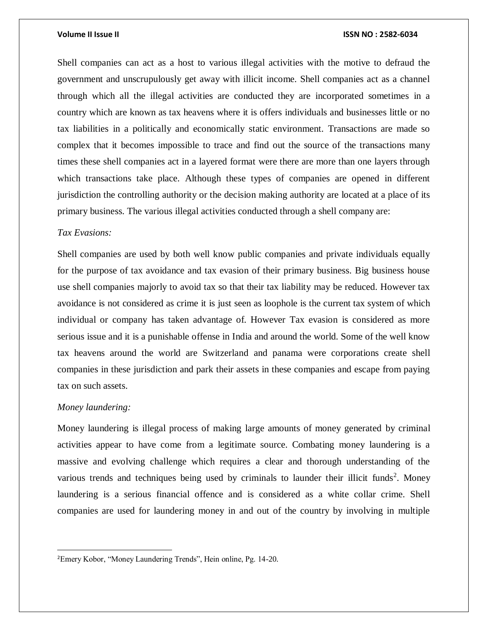Shell companies can act as a host to various illegal activities with the motive to defraud the government and unscrupulously get away with illicit income. Shell companies act as a channel through which all the illegal activities are conducted they are incorporated sometimes in a country which are known as tax heavens where it is offers individuals and businesses little or no tax liabilities in a politically and economically static environment. Transactions are made so complex that it becomes impossible to trace and find out the source of the transactions many times these shell companies act in a layered format were there are more than one layers through which transactions take place. Although these types of companies are opened in different jurisdiction the controlling authority or the decision making authority are located at a place of its primary business. The various illegal activities conducted through a shell company are:

# *Tax Evasions:*

Shell companies are used by both well know public companies and private individuals equally for the purpose of tax avoidance and tax evasion of their primary business. Big business house use shell companies majorly to avoid tax so that their tax liability may be reduced. However tax avoidance is not considered as crime it is just seen as loophole is the current tax system of which individual or company has taken advantage of. However Tax evasion is considered as more serious issue and it is a punishable offense in India and around the world. Some of the well know tax heavens around the world are Switzerland and panama were corporations create shell companies in these jurisdiction and park their assets in these companies and escape from paying tax on such assets.

### *Money laundering:*

 $\overline{\phantom{a}}$ 

Money laundering is illegal process of making large amounts of money generated by criminal activities appear to have come from a legitimate source. Combating money laundering is a massive and evolving challenge which requires a clear and thorough understanding of the various trends and techniques being used by criminals to launder their illicit funds<sup>2</sup>. Money laundering is a serious financial offence and is considered as a white collar crime. Shell companies are used for laundering money in and out of the country by involving in multiple

<sup>2</sup>Emery Kobor, "Money Laundering Trends", Hein online, Pg. 14-20.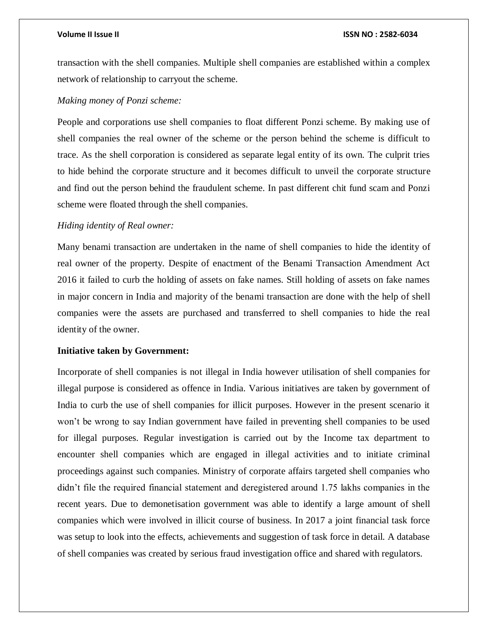transaction with the shell companies. Multiple shell companies are established within a complex network of relationship to carryout the scheme.

# *Making money of Ponzi scheme:*

People and corporations use shell companies to float different Ponzi scheme. By making use of shell companies the real owner of the scheme or the person behind the scheme is difficult to trace. As the shell corporation is considered as separate legal entity of its own. The culprit tries to hide behind the corporate structure and it becomes difficult to unveil the corporate structure and find out the person behind the fraudulent scheme. In past different chit fund scam and Ponzi scheme were floated through the shell companies.

# *Hiding identity of Real owner:*

Many benami transaction are undertaken in the name of shell companies to hide the identity of real owner of the property. Despite of enactment of the Benami Transaction Amendment Act 2016 it failed to curb the holding of assets on fake names. Still holding of assets on fake names in major concern in India and majority of the benami transaction are done with the help of shell companies were the assets are purchased and transferred to shell companies to hide the real identity of the owner.

## **Initiative taken by Government:**

Incorporate of shell companies is not illegal in India however utilisation of shell companies for illegal purpose is considered as offence in India. Various initiatives are taken by government of India to curb the use of shell companies for illicit purposes. However in the present scenario it won't be wrong to say Indian government have failed in preventing shell companies to be used for illegal purposes. Regular investigation is carried out by the Income tax department to encounter shell companies which are engaged in illegal activities and to initiate criminal proceedings against such companies. Ministry of corporate affairs targeted shell companies who didn't file the required financial statement and deregistered around 1.75 lakhs companies in the recent years. Due to demonetisation government was able to identify a large amount of shell companies which were involved in illicit course of business. In 2017 a joint financial task force was setup to look into the effects, achievements and suggestion of task force in detail. A database of shell companies was created by serious fraud investigation office and shared with regulators.